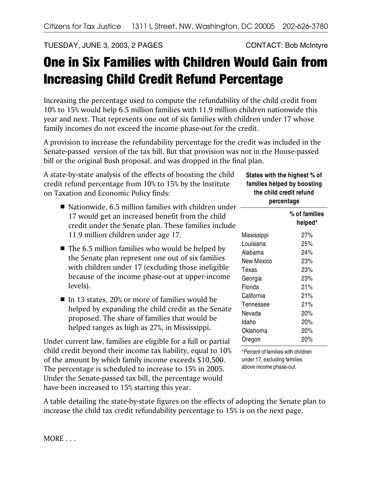TUESDAY, JUNE 3, 2003, 2 PAGES CONTACT: Bob McIntyre

## One in Six Families with Children Would Gain from Increasing Child Credit Refund Percentage

Increasing the percentage used to compute the refundability of the child credit from 10% to 15% would help 6.5 million families with 11.9 million children nationwide this year and next. That represents one out of six families with children under 17 whose family incomes do not exceed the income phase-out for the credit.

A provision to increase the refundability percentage for the credit was included in the Senate-passed version of the tax bill. But that provision was not in the House-passed bill or the original Bush proposal, and was dropped in the final plan.

A state-by-state analysis of the effects of boosting the child credit refund percentage from 10% to 15% by the Institute on Taxation and Economic Policy finds:

- $\blacksquare$  Nationwide, 6.5 million families with children under 17 would get an increased benefit from the child credit under the Senate plan. These families include 11.9 million children under age 17.
- $\blacksquare$  The 6.5 million families who would be helped by the Senate plan represent one out of six families with children under 17 (excluding those ineligible because of the income phase-out at upper-income levels).
- $\blacksquare$  In 13 states, 20% or more of families would be helped by expanding the child credit as the Senate proposed. The share of families that would be helped ranges as high as 27%, in Mississippi.

Under current law, families are eligible for a full or partial child credit beyond their income tax liability, equal to 10% of the amount by which family income exceeds \$10,500. The percentage is scheduled to increase to 15% in 2005. Under the Senate-passed tax bill, the percentage would have been increased to 15% starting this year.

A table detailing the state-by-state figures on the effects of adopting the Senate plan to increase the child tax credit refundability percentage to 15% is on the next page.

## **States with the highest % of families helped by boosting the child credit refund percentage**

|             | % of families<br>helped* |  |
|-------------|--------------------------|--|
| Mississippi | 27%                      |  |
| Louisiana   | 25%                      |  |
| Alabama     | 24%                      |  |
| New Mexico  | 23%                      |  |
| Texas       | 23%                      |  |
| Georgia     | 23%                      |  |
| Florida     | 21%                      |  |
| California  | 21%                      |  |
| Tennessee   | 21%                      |  |
| Nevada      | 20%                      |  |
| Idaho       | 20%                      |  |
| Oklahoma    | 20%                      |  |
| Oregon      | 20%                      |  |

\*Percent of families with children under 17, excluding families above income phase-out.